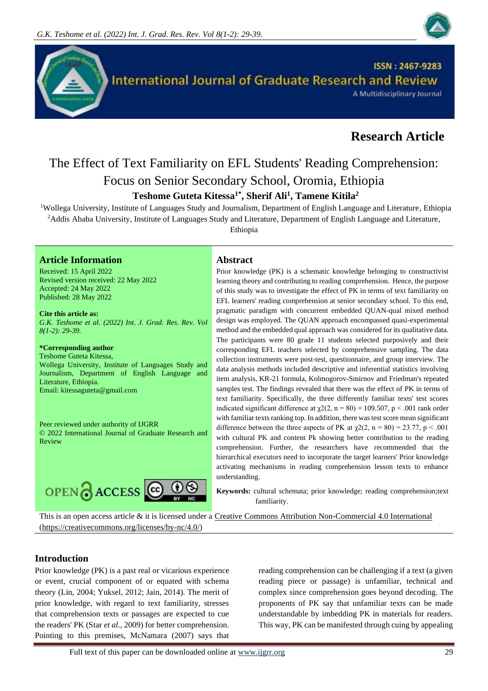



# **Research Article**

# The Effect of Text Familiarity on EFL Students' Reading Comprehension: Focus on Senior Secondary School, Oromia, Ethiopia **Teshome Guteta Kitessa1\*, Sherif Ali<sup>1</sup> , Tamene Kitila<sup>2</sup>**

<sup>1</sup>Wollega University, Institute of Languages Study and Journalism, Department of English Language and Literature, Ethiopia <sup>2</sup>Addis Ababa University, Institute of Languages Study and Literature, Department of English Language and Literature,

Ethiopia

# **Article Information Abstract**

Received: 15 April 2022 Revised version received: 22 May 2022 Accepted: 24 May 2022 Published: 28 May 2022

**Cite this article as:** *G.K. Teshome et al. (2022) Int. J. Grad. Res. Rev. Vol 8(1-2): 29-39.* 

### **\*Corresponding author**

Teshome Guteta Kitessa, Wollega University, Institute of Languages Study and Journalism, Department of English Language and Literature, Ethiopia. Email: kitessaguteta@gmail.com

Peer reviewed under authority of IJGRR © 2022 International Journal of Graduate Research and Review



Prior knowledge (PK) is a schematic knowledge belonging to constructivist learning theory and contributing to reading comprehension. Hence, the purpose of this study was to investigate the effect of PK in terms of text familiarity on EFL learners' reading comprehension at senior secondary school. To this end, pragmatic paradigm with concurrent embedded QUAN-qual mixed method design was employed. The QUAN approach encompassed quasi-experimental method and the embedded qual approach was considered for its qualitative data. The participants were 80 grade 11 students selected purposively and their corresponding EFL teachers selected by comprehensive sampling. The data collection instruments were post-test, questionnaire, and group interview. The data analysis methods included descriptive and inferential statistics involving item analysis, KR-21 formula, Kolmogorov-Smirnov and Friedman's repeated samples test. The findings revealed that there was the effect of PK in terms of text familiarity. Specifically, the three differently familiar texts' test scores indicated significant difference at  $\chi$ 2(2, n = 80) = 109.507, p < .001 rank order with familiar texts ranking top. In addition, there was test score mean significant difference between the three aspects of PK at  $\chi$ 2(2, n = 80) = 23.77, p < .001 with cultural PK and content Pk showing better contribution to the reading comprehension. Further, the researchers have recommended that the hierarchical executors need to incorporate the target learners' Prior knowledge activating mechanisms in reading comprehension lesson texts to enhance understanding.

**Keywords:** cultural schemata; prior knowledge; reading comprehension;text familiarity.

This is an open access article & it is licensed under a [Creative Commons Attribution Non-Commercial 4.0 International](https://creativecommons.org/licenses/by-nc/4.0/) [\(https://creativecommons.org/licenses/by-nc/4.0/\)](https://creativecommons.org/licenses/by-nc/4.0/)

#### **Introduction**

Prior knowledge (PK) is a past real or vicarious experience or event, crucial component of or equated with schema theory (Lin, 2004; Yuksel, 2012; Jain, 2014). The merit of prior knowledge, with regard to text familiarity, stresses that comprehension texts or passages are expected to cue the readers' PK (Star *et al*., 2009) for better comprehension. Pointing to this premises, McNamara (2007) says that

reading comprehension can be challenging if a text (a given reading piece or passage) is unfamiliar, technical and complex since comprehension goes beyond decoding. The proponents of PK say that unfamiliar texts can be made understandable by imbedding PK in materials for readers. This way, PK can be manifested through cuing by appealing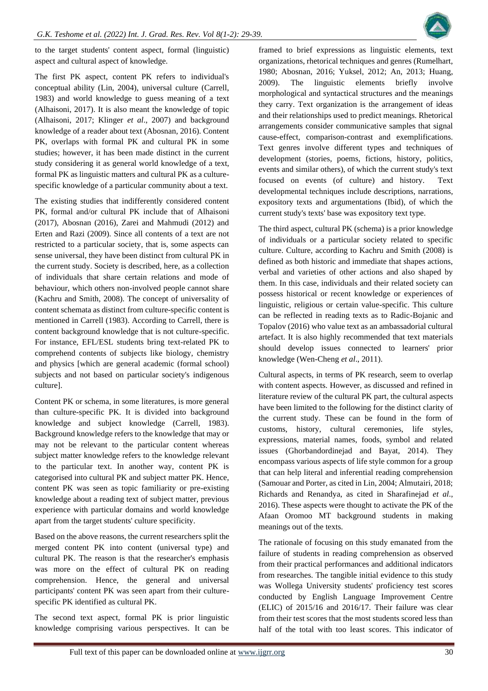

to the target students' content aspect, formal (linguistic) aspect and cultural aspect of knowledge.

The first PK aspect, content PK refers to individual's conceptual ability (Lin, 2004), universal culture (Carrell, 1983) and world knowledge to guess meaning of a text (Alhaisoni, 2017). It is also meant the knowledge of topic (Alhaisoni, 2017; Klinger *et al*., 2007) and background knowledge of a reader about text (Abosnan, 2016). Content PK, overlaps with formal PK and cultural PK in some studies; however, it has been made distinct in the current study considering it as general world knowledge of a text, formal PK as linguistic matters and cultural PK as a culturespecific knowledge of a particular community about a text.

The existing studies that indifferently considered content PK, formal and/or cultural PK include that of Alhaisoni (2017), Abosnan (2016), Zarei and Mahmudi (2012) and Erten and Razi (2009). Since all contents of a text are not restricted to a particular society, that is, some aspects can sense universal, they have been distinct from cultural PK in the current study. Society is described, here, as a collection of individuals that share certain relations and mode of behaviour, which others non-involved people cannot share (Kachru and Smith, 2008). The concept of universality of content schemata as distinct from culture-specific content is mentioned in Carrell (1983). According to Carrell, there is content background knowledge that is not culture-specific. For instance, EFL/ESL students bring text-related PK to comprehend contents of subjects like biology, chemistry and physics [which are general academic (formal school) subjects and not based on particular society's indigenous culture].

Content PK or schema, in some literatures, is more general than culture-specific PK. It is divided into background knowledge and subject knowledge (Carrell, 1983). Background knowledge refers to the knowledge that may or may not be relevant to the particular content whereas subject matter knowledge refers to the knowledge relevant to the particular text. In another way, content PK is categorised into cultural PK and subject matter PK. Hence, content PK was seen as topic familiarity or pre-existing knowledge about a reading text of subject matter, previous experience with particular domains and world knowledge apart from the target students' culture specificity.

Based on the above reasons, the current researchers split the merged content PK into content (universal type) and cultural PK. The reason is that the researcher's emphasis was more on the effect of cultural PK on reading comprehension. Hence, the general and universal participants' content PK was seen apart from their culturespecific PK identified as cultural PK.

The second text aspect, formal PK is prior linguistic knowledge comprising various perspectives. It can be framed to brief expressions as linguistic elements, text organizations, rhetorical techniques and genres (Rumelhart, 1980; Abosnan, 2016; Yuksel, 2012; An, 2013; Huang, 2009). The linguistic elements briefly involve morphological and syntactical structures and the meanings they carry. Text organization is the arrangement of ideas and their relationships used to predict meanings. Rhetorical arrangements consider communicative samples that signal cause-effect, comparison-contrast and exemplifications. Text genres involve different types and techniques of development (stories, poems, fictions, history, politics, events and similar others), of which the current study's text focused on events (of culture) and history. Text developmental techniques include descriptions, narrations, expository texts and argumentations (Ibid), of which the current study's texts' base was expository text type.

The third aspect, cultural PK (schema) is a prior knowledge of individuals or a particular society related to specific culture. Culture, according to Kachru and Smith (2008) is defined as both historic and immediate that shapes actions, verbal and varieties of other actions and also shaped by them. In this case, individuals and their related society can possess historical or recent knowledge or experiences of linguistic, religious or certain value-specific. This culture can be reflected in reading texts as to Radic-Bojanic and Topalov (2016) who value text as an ambassadorial cultural artefact. It is also highly recommended that text materials should develop issues connected to learners' prior knowledge (Wen-Cheng *et al*., 2011).

Cultural aspects, in terms of PK research, seem to overlap with content aspects. However, as discussed and refined in literature review of the cultural PK part, the cultural aspects have been limited to the following for the distinct clarity of the current study. These can be found in the form of customs, history, cultural ceremonies, life styles, expressions, material names, foods, symbol and related issues (Ghorbandordinejad and Bayat, 2014). They encompass various aspects of life style common for a group that can help literal and inferential reading comprehension (Samouar and Porter, as cited in Lin, 2004; Almutairi, 2018; Richards and Renandya, as cited in Sharafinejad *et al*., 2016). These aspects were thought to activate the PK of the Afaan Oromoo MT background students in making meanings out of the texts.

The rationale of focusing on this study emanated from the failure of students in reading comprehension as observed from their practical performances and additional indicators from researches. The tangible initial evidence to this study was Wollega University students' proficiency test scores conducted by English Language Improvement Centre (ELIC) of 2015/16 and 2016/17. Their failure was clear from their test scores that the most students scored less than half of the total with too least scores. This indicator of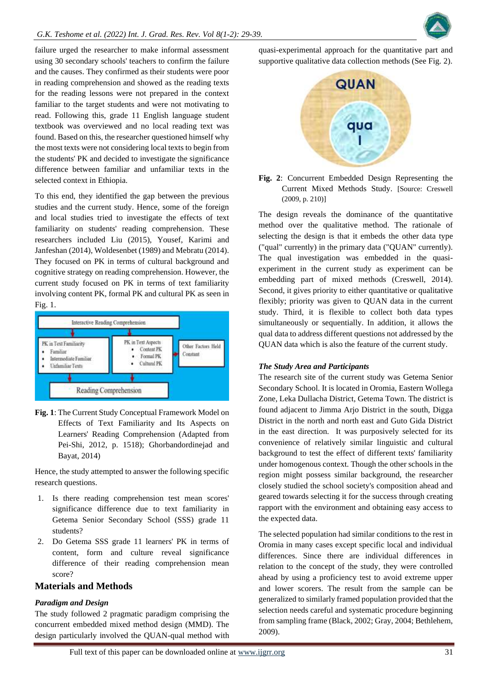

failure urged the researcher to make informal assessment using 30 secondary schools' teachers to confirm the failure and the causes. They confirmed as their students were poor in reading comprehension and showed as the reading texts for the reading lessons were not prepared in the context familiar to the target students and were not motivating to read. Following this, grade 11 English language student textbook was overviewed and no local reading text was found. Based on this, the researcher questioned himself why the most texts were not considering local texts to begin from the students' PK and decided to investigate the significance difference between familiar and unfamiliar texts in the selected context in Ethiopia.

To this end, they identified the gap between the previous studies and the current study. Hence, some of the foreign and local studies tried to investigate the effects of text familiarity on students' reading comprehension. These researchers included Liu (2015), Yousef, Karimi and Janfeshan (2014), Woldesenbet (1989) and Mebratu (2014). They focused on PK in terms of cultural background and cognitive strategy on reading comprehension. However, the current study focused on PK in terms of text familiarity involving content PK, formal PK and cultural PK as seen in Fig. 1.



**Fig. 1**: The Current Study Conceptual Framework Model on Effects of Text Familiarity and Its Aspects on Learners' Reading Comprehension (Adapted from Pei-Shi, 2012, p. 1518); Ghorbandordinejad and Bayat, 2014)

Hence, the study attempted to answer the following specific research questions.

- 1. Is there reading comprehension test mean scores' significance difference due to text familiarity in Getema Senior Secondary School (SSS) grade 11 students?
- 2. Do Getema SSS grade 11 learners' PK in terms of content, form and culture reveal significance difference of their reading comprehension mean score?

#### **Materials and Methods**

#### *Paradigm and Design*

The study followed 2 pragmatic paradigm comprising the concurrent embedded mixed method design (MMD). The design particularly involved the QUAN-qual method with

quasi-experimental approach for the quantitative part and supportive qualitative data collection methods (See Fig. 2).



**Fig. 2**: Concurrent Embedded Design Representing the Current Mixed Methods Study. [Source: Creswell (2009, p. 210)]

The design reveals the dominance of the quantitative method over the qualitative method. The rationale of selecting the design is that it embeds the other data type ("qual" currently) in the primary data ("QUAN" currently). The qual investigation was embedded in the quasiexperiment in the current study as experiment can be embedding part of mixed methods (Creswell, 2014). Second, it gives priority to either quantitative or qualitative flexibly; priority was given to QUAN data in the current study. Third, it is flexible to collect both data types simultaneously or sequentially. In addition, it allows the qual data to address different questions not addressed by the QUAN data which is also the feature of the current study.

#### *The Study Area and Participants*

The research site of the current study was Getema Senior Secondary School. It is located in Oromia, Eastern Wollega Zone, Leka Dullacha District, Getema Town. The district is found adjacent to Jimma Arjo District in the south, Digga District in the north and north east and Guto Gida District in the east direction. It was purposively selected for its convenience of relatively similar linguistic and cultural background to test the effect of different texts' familiarity under homogenous context. Though the other schools in the region might possess similar background, the researcher closely studied the school society's composition ahead and geared towards selecting it for the success through creating rapport with the environment and obtaining easy access to the expected data.

The selected population had similar conditions to the rest in Oromia in many cases except specific local and individual differences. Since there are individual differences in relation to the concept of the study, they were controlled ahead by using a proficiency test to avoid extreme upper and lower scorers. The result from the sample can be generalized to similarly framed population provided that the selection needs careful and systematic procedure beginning from sampling frame (Black, 2002; Gray, 2004; Bethlehem, 2009).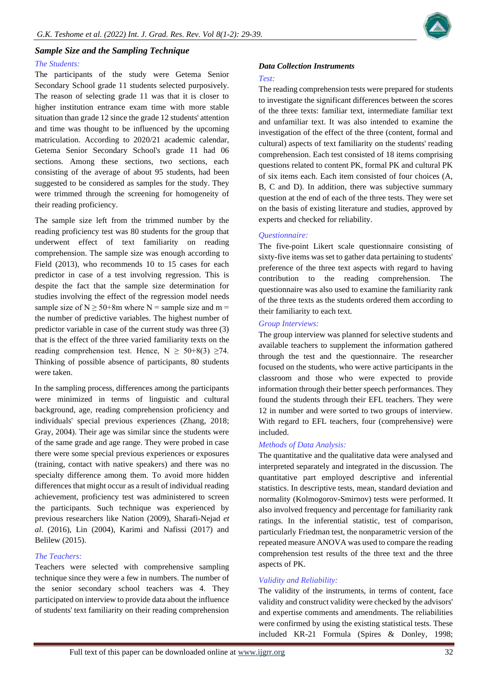

# *Sample Size and the Sampling Technique*

#### *The Students:*

The participants of the study were Getema Senior Secondary School grade 11 students selected purposively. The reason of selecting grade 11 was that it is closer to higher institution entrance exam time with more stable situation than grade 12 since the grade 12 students' attention and time was thought to be influenced by the upcoming matriculation. According to 2020/21 academic calendar, Getema Senior Secondary School's grade 11 had 06 sections. Among these sections, two sections, each consisting of the average of about 95 students, had been suggested to be considered as samples for the study. They were trimmed through the screening for homogeneity of their reading proficiency.

The sample size left from the trimmed number by the reading proficiency test was 80 students for the group that underwent effect of text familiarity on reading comprehension. The sample size was enough according to Field (2013), who recommends 10 to 15 cases for each predictor in case of a test involving regression. This is despite the fact that the sample size determination for studies involving the effect of the regression model needs sample size of  $N \ge 50+8m$  where N = sample size and m = the number of predictive variables. The highest number of predictor variable in case of the current study was three (3) that is the effect of the three varied familiarity texts on the reading comprehension test. Hence,  $N \ge 50+8(3) \ge 74$ . Thinking of possible absence of participants, 80 students were taken.

In the sampling process, differences among the participants were minimized in terms of linguistic and cultural background, age, reading comprehension proficiency and individuals' special previous experiences (Zhang, 2018; Gray, 2004). Their age was similar since the students were of the same grade and age range. They were probed in case there were some special previous experiences or exposures (training, contact with native speakers) and there was no specialty difference among them. To avoid more hidden differences that might occur as a result of individual reading achievement, proficiency test was administered to screen the participants. Such technique was experienced by previous researchers like Nation (2009), Sharafi-Nejad *et al*. (2016), Lin (2004), Karimi and Nafissi (2017) and Belilew (2015).

#### *The Teachers:*

Teachers were selected with comprehensive sampling technique since they were a few in numbers. The number of the senior secondary school teachers was 4. They participated on interview to provide data about the influence of students' text familiarity on their reading comprehension

# *Data Collection Instruments*

#### *Test:*

The reading comprehension tests were prepared for students to investigate the significant differences between the scores of the three texts: familiar text, intermediate familiar text and unfamiliar text. It was also intended to examine the investigation of the effect of the three (content, formal and cultural) aspects of text familiarity on the students' reading comprehension. Each test consisted of 18 items comprising questions related to content PK, formal PK and cultural PK of six items each. Each item consisted of four choices (A, B, C and D). In addition, there was subjective summary question at the end of each of the three tests. They were set on the basis of existing literature and studies, approved by experts and checked for reliability.

#### *Questionnaire:*

The five-point Likert scale questionnaire consisting of sixty-five items was set to gather data pertaining to students' preference of the three text aspects with regard to having contribution to the reading comprehension. The questionnaire was also used to examine the familiarity rank of the three texts as the students ordered them according to their familiarity to each text.

#### *Group Interviews:*

The group interview was planned for selective students and available teachers to supplement the information gathered through the test and the questionnaire. The researcher focused on the students, who were active participants in the classroom and those who were expected to provide information through their better speech performances. They found the students through their EFL teachers. They were 12 in number and were sorted to two groups of interview. With regard to EFL teachers, four (comprehensive) were included.

#### *Methods of Data Analysis:*

The quantitative and the qualitative data were analysed and interpreted separately and integrated in the discussion. The quantitative part employed descriptive and inferential statistics. In descriptive tests, mean, standard deviation and normality (Kolmogorov-Smirnov) tests were performed. It also involved frequency and percentage for familiarity rank ratings. In the inferential statistic, test of comparison, particularly Friedman test, the nonparametric version of the repeated measure ANOVA was used to compare the reading comprehension test results of the three text and the three aspects of PK.

# *Validity and Reliability:*

The validity of the instruments, in terms of content, face validity and construct validity were checked by the advisors' and expertise comments and amendments. The reliabilities were confirmed by using the existing statistical tests. These included KR-21 Formula (Spires & Donley, 1998;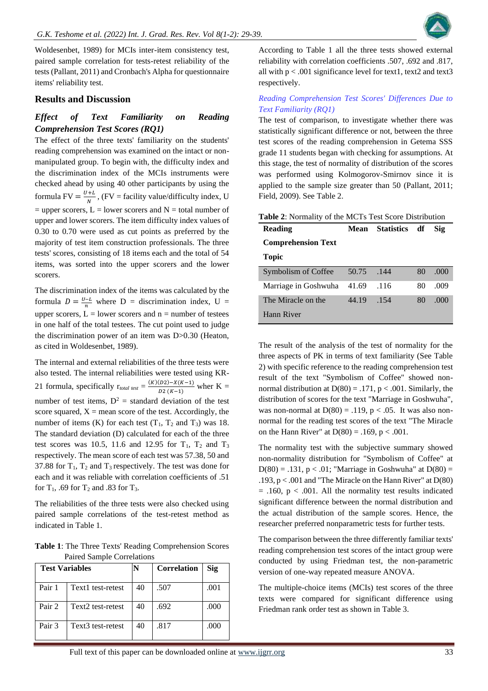

Woldesenbet, 1989) for MCIs inter-item consistency test, paired sample correlation for tests-retest reliability of the tests (Pallant, 2011) and Cronbach's Alpha for questionnaire items' reliability test.

#### **Results and Discussion**

# *Effect of Text Familiarity on Reading Comprehension Test Scores (RQ1)*

The effect of the three texts' familiarity on the students' reading comprehension was examined on the intact or nonmanipulated group. To begin with, the difficulty index and the discrimination index of the MCIs instruments were checked ahead by using 40 other participants by using the formula FV =  $\frac{U+L}{N}$  $\frac{H}{N}$ , (FV = facility value/difficulty index, U  $=$  upper scorers, L  $=$  lower scorers and N  $=$  total number of upper and lower scorers. The item difficulty index values of 0.30 to 0.70 were used as cut points as preferred by the majority of test item construction professionals. The three tests' scores, consisting of 18 items each and the total of 54 items, was sorted into the upper scorers and the lower scorers.

The discrimination index of the items was calculated by the formula  $D = \frac{U - L}{n}$  where  $D =$  discrimination index,  $U =$ upper scorers,  $L =$  lower scorers and  $n =$  number of testees in one half of the total testees. The cut point used to judge the discrimination power of an item was D>0.30 (Heaton, as cited in Woldesenbet, 1989).

The internal and external reliabilities of the three tests were also tested. The internal reliabilities were tested using KR-21 formula, specifically  $r_{total test} = \frac{(K)(D2) - X(K-1)}{D(2)(K-1)}$  $\frac{D_2(-K-K-1)}{D_2(K-1)}$  wher K = number of test items,  $D^2$  = standard deviation of the test score squared,  $X =$  mean score of the test. Accordingly, the number of items (K) for each test  $(T_1, T_2 \text{ and } T_3)$  was 18. The standard deviation (D) calculated for each of the three test scores was 10.5, 11.6 and 12.95 for  $T_1$ ,  $T_2$  and  $T_3$ respectively. The mean score of each test was 57.38, 50 and 37.88 for  $T_1$ ,  $T_2$  and  $T_3$  respectively. The test was done for each and it was reliable with correlation coefficients of .51 for  $T_1$ , .69 for  $T_2$  and .83 for  $T_3$ .

The reliabilities of the three tests were also checked using paired sample correlations of the test-retest method as indicated in Table 1.

**Table 1**: The Three Texts' Reading Comprehension Scores Paired Sample Correlations

| <b>Test Variables</b> |                   |    | <b>Correlation</b> | Sig  |
|-----------------------|-------------------|----|--------------------|------|
| Pair 1                | Text1 test-retest | 40 | .507               | .001 |
| Pair 2                | Text2 test-retest | 40 | .692               | .000 |
| Pair 3                | Text3 test-retest | 40 | .817               | .000 |

According to Table 1 all the three tests showed external reliability with correlation coefficients .507, .692 and .817, all with  $p < .001$  significance level for text1, text2 and text3 respectively.

#### *Reading Comprehension Test Scores' Differences Due to Text Familiarity (RQ1)*

The test of comparison, to investigate whether there was statistically significant difference or not, between the three test scores of the reading comprehension in Getema SSS grade 11 students began with checking for assumptions. At this stage, the test of normality of distribution of the scores was performed using Kolmogorov-Smirnov since it is applied to the sample size greater than 50 (Pallant, 2011; Field, 2009). See Table 2.

| <b>Table 2:</b> Normality of the MCTs Test Score Distribution |       |               |    |      |  |
|---------------------------------------------------------------|-------|---------------|----|------|--|
| <b>Reading</b>                                                | Mean  | Statistics df |    | Sig  |  |
| <b>Comprehension Text</b>                                     |       |               |    |      |  |
| Topic                                                         |       |               |    |      |  |
| Symbolism of Coffee                                           | 50.75 | .144          | 80 | .000 |  |
| Marriage in Goshwuha                                          | 41.69 | .116          | 80 | .009 |  |
| The Miracle on the                                            | 44.19 | -154          | 80 | .000 |  |
| Hann River                                                    |       |               |    |      |  |

The result of the analysis of the test of normality for the three aspects of PK in terms of text familiarity (See Table 2) with specific reference to the reading comprehension test result of the text "Symbolism of Coffee" showed nonnormal distribution at  $D(80) = .171$ ,  $p < .001$ . Similarly, the distribution of scores for the text "Marriage in Goshwuha", was non-normal at  $D(80) = .119$ ,  $p < .05$ . It was also nonnormal for the reading test scores of the text "The Miracle on the Hann River" at  $D(80) = .169$ ,  $p < .001$ .

The normality test with the subjective summary showed non-normality distribution for "Symbolism of Coffee" at  $D(80) = .131$ ,  $p < .01$ ; "Marriage in Goshwuha" at  $D(80) =$ .193,  $p < .001$  and "The Miracle on the Hann River" at  $D(80)$  $= .160$ ,  $p < .001$ . All the normality test results indicated significant difference between the normal distribution and the actual distribution of the sample scores. Hence, the researcher preferred nonparametric tests for further tests.

The comparison between the three differently familiar texts' reading comprehension test scores of the intact group were conducted by using Friedman test, the non-parametric version of one-way repeated measure ANOVA.

The multiple-choice items (MCIs) test scores of the three texts were compared for significant difference using Friedman rank order test as shown in Table 3.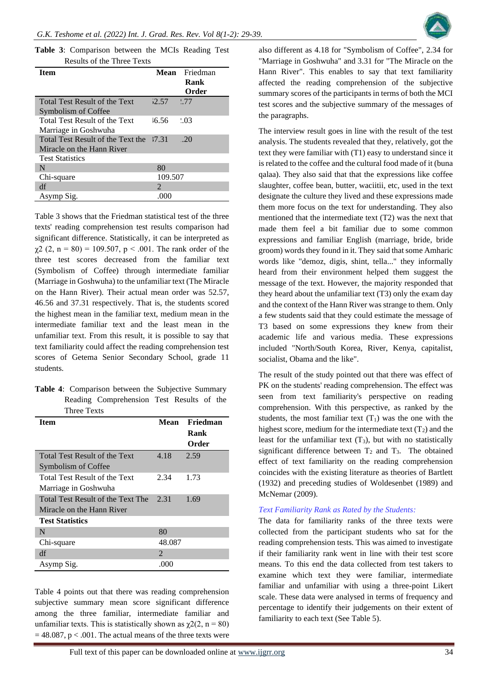**Table 3**: Comparison between the MCIs Reading Test Results of the Three Texts

| <b>Item</b>                                                    |                             | Mean Friedman<br>Rank<br>Order |
|----------------------------------------------------------------|-----------------------------|--------------------------------|
| <b>Total Test Result of the Text</b><br>Symbolism of Coffee    | 7.57                        | 1.77                           |
| <b>Total Test Result of the Text</b><br>Marriage in Goshwuha   | $-6.56$                     | 2.03                           |
| Total Test Result of the Text the<br>Miracle on the Hann River | 17.31                       | -20                            |
| <b>Test Statistics</b>                                         |                             |                                |
| N                                                              | 80                          |                                |
| Chi-square                                                     | 109.507                     |                                |
| df                                                             | $\mathcal{D}_{\mathcal{L}}$ |                                |
| Asymp Sig.                                                     | .000                        |                                |

Table 3 shows that the Friedman statistical test of the three texts' reading comprehension test results comparison had significant difference. Statistically, it can be interpreted as  $\gamma$ 2 (2, n = 80) = 109.507, p < .001. The rank order of the three test scores decreased from the familiar text (Symbolism of Coffee) through intermediate familiar (Marriage in Goshwuha) to the unfamiliar text (The Miracle on the Hann River). Their actual mean order was 52.57, 46.56 and 37.31 respectively. That is, the students scored the highest mean in the familiar text, medium mean in the intermediate familiar text and the least mean in the unfamiliar text. From this result, it is possible to say that text familiarity could affect the reading comprehension test scores of Getema Senior Secondary School, grade 11 students.

| Table 4: Comparison between the Subjective Summary |                                           |  |  |
|----------------------------------------------------|-------------------------------------------|--|--|
|                                                    | Reading Comprehension Test Results of the |  |  |
| Three Texts                                        |                                           |  |  |

| <b>Item</b>                       | Mean                        | Friedman |
|-----------------------------------|-----------------------------|----------|
|                                   |                             | Rank     |
|                                   |                             | Order    |
| Total Test Result of the Text     | 4.18                        | 2.59     |
| Symbolism of Coffee               |                             |          |
| Total Test Result of the Text     | 2.34                        | 1.73     |
| Marriage in Goshwuha              |                             |          |
| Total Test Result of the Text The | 2.31                        | 1.69     |
| Miracle on the Hann River         |                             |          |
| <b>Test Statistics</b>            |                             |          |
| N                                 | 80                          |          |
| Chi-square                        | 48.087                      |          |
| df                                | $\mathcal{D}_{\mathcal{L}}$ |          |
| Asymp Sig.                        | .000                        |          |

Table 4 points out that there was reading comprehension subjective summary mean score significant difference among the three familiar, intermediate familiar and unfamiliar texts. This is statistically shown as  $\gamma$ 2(2, n = 80)  $= 48.087$ , p < .001. The actual means of the three texts were

also different as 4.18 for "Symbolism of Coffee", 2.34 for "Marriage in Goshwuha" and 3.31 for "The Miracle on the Hann River". This enables to say that text familiarity affected the reading comprehension of the subjective summary scores of the participants in terms of both the MCI test scores and the subjective summary of the messages of the paragraphs.

The interview result goes in line with the result of the test analysis. The students revealed that they, relatively, got the text they were familiar with (T1) easy to understand since it is related to the coffee and the cultural food made of it (buna qalaa). They also said that that the expressions like coffee slaughter, coffee bean, butter, waciitii, etc, used in the text designate the culture they lived and these expressions made them more focus on the text for understanding. They also mentioned that the intermediate text (T2) was the next that made them feel a bit familiar due to some common expressions and familiar English (marriage, bride, bride groom) words they found in it. They said that some Amharic words like "demoz, digis, shint, tella..." they informally heard from their environment helped them suggest the message of the text. However, the majority responded that they heard about the unfamiliar text (T3) only the exam day and the context of the Hann River was strange to them. Only a few students said that they could estimate the message of T3 based on some expressions they knew from their academic life and various media. These expressions included "North/South Korea, River, Kenya, capitalist, socialist, Obama and the like".

The result of the study pointed out that there was effect of PK on the students' reading comprehension. The effect was seen from text familiarity's perspective on reading comprehension. With this perspective, as ranked by the students, the most familiar text  $(T_1)$  was the one with the highest score, medium for the intermediate text  $(T_2)$  and the least for the unfamiliar text  $(T_3)$ , but with no statistically significant difference between  $T_2$  and  $T_3$ . The obtained effect of text familiarity on the reading comprehension coincides with the existing literature as theories of Bartlett (1932) and preceding studies of Woldesenbet (1989) and McNemar (2009).

#### *Text Familiarity Rank as Rated by the Students:*

The data for familiarity ranks of the three texts were collected from the participant students who sat for the reading comprehension tests. This was aimed to investigate if their familiarity rank went in line with their test score means. To this end the data collected from test takers to examine which text they were familiar, intermediate familiar and unfamiliar with using a three-point Likert scale. These data were analysed in terms of frequency and percentage to identify their judgements on their extent of familiarity to each text (See Table 5).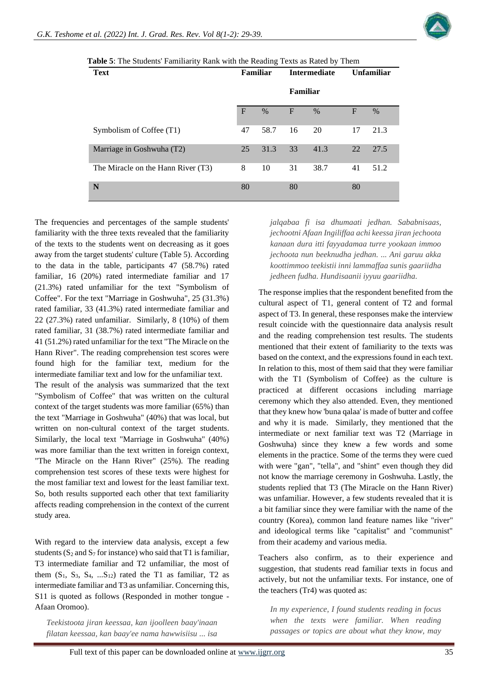

| <b>Text</b>                        | Familiar     |      | <b>Intermediate</b> |      | <b>Unfamiliar</b> |      |
|------------------------------------|--------------|------|---------------------|------|-------------------|------|
|                                    |              |      | Familiar            |      |                   |      |
|                                    | $\mathbf{F}$ | $\%$ | $\mathbf F$         | $\%$ | $\mathbf F$       | $\%$ |
| Symbolism of Coffee (T1)           | 47           | 58.7 | 16                  | 20   | 17                | 21.3 |
| Marriage in Goshwuha (T2)          | 25           | 31.3 | 33                  | 41.3 | 22                | 27.5 |
| The Miracle on the Hann River (T3) | 8            | 10   | 31                  | 38.7 | 41                | 51.2 |
| N                                  | 80           |      | 80                  |      | 80                |      |

**Table 5**: The Students' Familiarity Rank with the Reading Texts as Rated by Them

The frequencies and percentages of the sample students' familiarity with the three texts revealed that the familiarity of the texts to the students went on decreasing as it goes away from the target students' culture (Table 5). According to the data in the table, participants 47 (58.7%) rated familiar, 16 (20%) rated intermediate familiar and 17 (21.3%) rated unfamiliar for the text "Symbolism of Coffee". For the text "Marriage in Goshwuha", 25 (31.3%) rated familiar, 33 (41.3%) rated intermediate familiar and 22 (27.3%) rated unfamiliar. Similarly, 8 (10%) of them rated familiar, 31 (38.7%) rated intermediate familiar and 41 (51.2%) rated unfamiliar for the text "The Miracle on the Hann River". The reading comprehension test scores were found high for the familiar text, medium for the intermediate familiar text and low for the unfamiliar text.

The result of the analysis was summarized that the text "Symbolism of Coffee" that was written on the cultural context of the target students was more familiar (65%) than the text "Marriage in Goshwuha" (40%) that was local, but written on non-cultural context of the target students. Similarly, the local text "Marriage in Goshwuha" (40%) was more familiar than the text written in foreign context, "The Miracle on the Hann River" (25%). The reading comprehension test scores of these texts were highest for the most familiar text and lowest for the least familiar text. So, both results supported each other that text familiarity affects reading comprehension in the context of the current study area.

With regard to the interview data analysis, except a few students ( $S_2$  and  $S_7$  for instance) who said that T1 is familiar, T3 intermediate familiar and T2 unfamiliar, the most of them  $(S_1, S_3, S_4, ... S_{12})$  rated the T1 as familiar, T2 as intermediate familiar and T3 as unfamiliar. Concerning this, S11 is quoted as follows (Responded in mother tongue - Afaan Oromoo).

*Teekistoota jiran keessaa, kan ijoolleen baay'inaan filatan keessaa, kan baay'ee nama hawwisiisu ... isa*  *jalqabaa fi isa dhumaati jedhan. Sababnisaas, jechootni Afaan Ingiliffaa achi keessa jiran jechoota kanaan dura itti fayyadamaa turre yookaan immoo jechoota nun beeknudha jedhan. ... Ani garuu akka koottimmoo teekistii inni lammaffaa sunis gaariidha jedheen fudha. Hundisaanii iyyuu gaariidha.* 

The response implies that the respondent benefited from the cultural aspect of T1, general content of T2 and formal aspect of T3. In general, these responses make the interview result coincide with the questionnaire data analysis result and the reading comprehension test results. The students mentioned that their extent of familiarity to the texts was based on the context, and the expressions found in each text. In relation to this, most of them said that they were familiar with the T1 (Symbolism of Coffee) as the culture is practiced at different occasions including marriage ceremony which they also attended. Even, they mentioned that they knew how 'buna qalaa' is made of butter and coffee and why it is made. Similarly, they mentioned that the intermediate or next familiar text was T2 (Marriage in Goshwuha) since they knew a few words and some elements in the practice. Some of the terms they were cued with were "gan", "tella", and "shint" even though they did not know the marriage ceremony in Goshwuha. Lastly, the students replied that T3 (The Miracle on the Hann River) was unfamiliar. However, a few students revealed that it is a bit familiar since they were familiar with the name of the country (Korea), common land feature names like "river" and ideological terms like "capitalist" and "communist" from their academy and various media.

Teachers also confirm, as to their experience and suggestion, that students read familiar texts in focus and actively, but not the unfamiliar texts. For instance, one of the teachers (Tr4) was quoted as:

*In my experience, I found students reading in focus when the texts were familiar. When reading passages or topics are about what they know, may*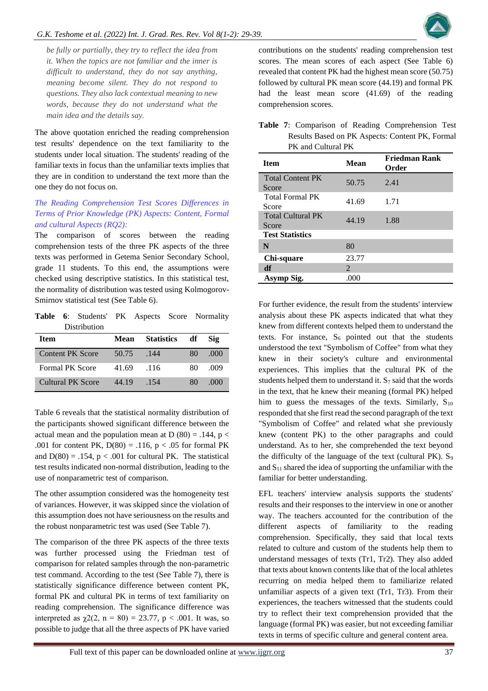

*be fully or partially, they try to reflect the idea from it. When the topics are not familiar and the inner is difficult to understand, they do not say anything, meaning become silent. They do not respond to questions. They also lack contextual meaning to new words, because they do not understand what the main idea and the details say.* 

The above quotation enriched the reading comprehension test results' dependence on the text familiarity to the students under local situation. The students' reading of the familiar texts in focus than the unfamiliar texts implies that they are in condition to understand the text more than the one they do not focus on.

# *The Reading Comprehension Test Scores Differences in Terms of Prior Knowledge (PK) Aspects: Content, Formal and cultural Aspects (RQ2):*

The comparison of scores between the reading comprehension tests of the three PK aspects of the three texts was performed in Getema Senior Secondary School, grade 11 students. To this end, the assumptions were checked using descriptive statistics. In this statistical test, the normality of distribution was tested using Kolmogorov-Smirnov statistical test (See Table 6).

**Table 6**: Students' PK Aspects Score Normality Distribution

| <b>Item</b>             | Mean  | <b>Statistics</b> | df | <b>Sig</b> |
|-------------------------|-------|-------------------|----|------------|
| <b>Content PK Score</b> | 50.75 | .144              | 80 | .000       |
| <b>Formal PK Score</b>  | 41.69 | .116              | 80 | .009       |
| Cultural PK Score       | 44.19 | -154              | 80 | (1)(1)     |

Table 6 reveals that the statistical normality distribution of the participants showed significant difference between the actual mean and the population mean at D  $(80) = .144$ , p < .001 for content PK,  $D(80) = .116$ ,  $p < .05$  for formal PK and  $D(80) = .154$ ,  $p < .001$  for cultural PK. The statistical test results indicated non-normal distribution, leading to the use of nonparametric test of comparison.

The other assumption considered was the homogeneity test of variances. However, it was skipped since the violation of this assumption does not have seriousness on the results and the robust nonparametric test was used (See Table 7).

The comparison of the three PK aspects of the three texts was further processed using the Friedman test of comparison for related samples through the non-parametric test command. According to the test (See Table 7), there is statistically significance difference between content PK, formal PK and cultural PK in terms of text familiarity on reading comprehension. The significance difference was interpreted as  $\chi$ 2(2, n = 80) = 23.77, p < .001. It was, so possible to judge that all the three aspects of PK have varied

contributions on the students' reading comprehension test scores. The mean scores of each aspect (See Table 6) revealed that content PK had the highest mean score (50.75) followed by cultural PK mean score (44.19) and formal PK had the least mean score (41.69) of the reading comprehension scores.

**Table 7**: Comparison of Reading Comprehension Test Results Based on PK Aspects: Content PK, Formal PK and Cultural PK

| <b>Item</b>                       | Mean                        | <b>Friedman Rank</b><br>Order |
|-----------------------------------|-----------------------------|-------------------------------|
| <b>Total Content PK</b><br>Score  | 50.75                       | 2.41                          |
| <b>Total Formal PK</b><br>Score   | 41.69                       | 1.71                          |
| <b>Total Cultural PK</b><br>Score | 44.19                       | 1.88                          |
| <b>Test Statistics</b>            |                             |                               |
| N                                 | 80                          |                               |
| Chi-square                        | 23.77                       |                               |
| df                                | $\mathcal{D}_{\mathcal{L}}$ |                               |
| Asymp Sig.                        | .000                        |                               |

For further evidence, the result from the students' interview analysis about these PK aspects indicated that what they knew from different contexts helped them to understand the texts. For instance,  $S_6$  pointed out that the students understood the text "Symbolism of Coffee" from what they knew in their society's culture and environmental experiences. This implies that the cultural PK of the students helped them to understand it.  $S_7$  said that the words in the text, that he knew their meaning (formal PK) helped him to guess the messages of the texts. Similarly,  $S_{10}$ responded that she first read the second paragraph of the text "Symbolism of Coffee" and related what she previously knew (content PK) to the other paragraphs and could understand. As to her, she comprehended the text beyond the difficulty of the language of the text (cultural PK).  $S_9$ and  $S_{11}$  shared the idea of supporting the unfamiliar with the familiar for better understanding.

EFL teachers' interview analysis supports the students' results and their responses to the interview in one or another way. The teachers accounted for the contribution of the different aspects of familiarity to the reading comprehension. Specifically, they said that local texts related to culture and custom of the students help them to understand messages of texts (Tr1, Tr2). They also added that texts about known contents like that of the local athletes recurring on media helped them to familiarize related unfamiliar aspects of a given text (Tr1, Tr3). From their experiences, the teachers witnessed that the students could try to reflect their text comprehension provided that the language (formal PK) was easier, but not exceeding familiar texts in terms of specific culture and general content area.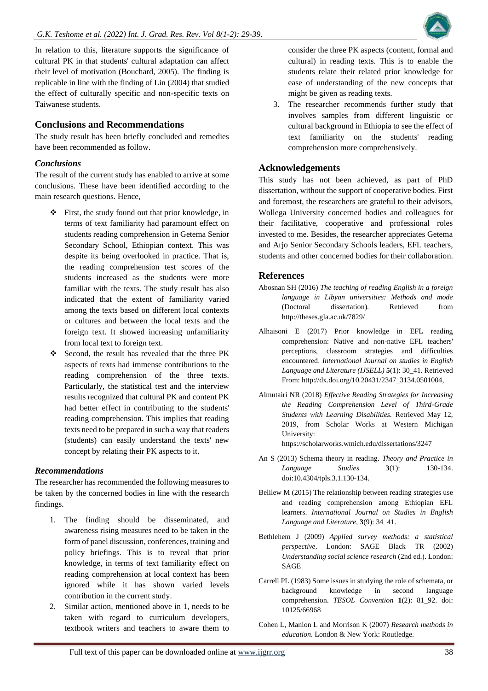In relation to this, literature supports the significance of cultural PK in that students' cultural adaptation can affect their level of motivation (Bouchard, 2005). The finding is replicable in line with the finding of Lin (2004) that studied the effect of culturally specific and non-specific texts on Taiwanese students.

# **Conclusions and Recommendations**

The study result has been briefly concluded and remedies have been recommended as follow.

#### *Conclusions*

The result of the current study has enabled to arrive at some conclusions. These have been identified according to the main research questions. Hence,

- ❖ First, the study found out that prior knowledge, in terms of text familiarity had paramount effect on students reading comprehension in Getema Senior Secondary School, Ethiopian context. This was despite its being overlooked in practice. That is, the reading comprehension test scores of the students increased as the students were more familiar with the texts. The study result has also indicated that the extent of familiarity varied among the texts based on different local contexts or cultures and between the local texts and the foreign text. It showed increasing unfamiliarity from local text to foreign text.
- ❖ Second, the result has revealed that the three PK aspects of texts had immense contributions to the reading comprehension of the three texts. Particularly, the statistical test and the interview results recognized that cultural PK and content PK had better effect in contributing to the students' reading comprehension. This implies that reading texts need to be prepared in such a way that readers (students) can easily understand the texts' new concept by relating their PK aspects to it.

#### *Recommendations*

The researcher has recommended the following measures to be taken by the concerned bodies in line with the research findings.

- 1. The finding should be disseminated, and awareness rising measures need to be taken in the form of panel discussion, conferences, training and policy briefings. This is to reveal that prior knowledge, in terms of text familiarity effect on reading comprehension at local context has been ignored while it has shown varied levels contribution in the current study.
- 2. Similar action, mentioned above in 1, needs to be taken with regard to curriculum developers, textbook writers and teachers to aware them to

consider the three PK aspects (content, formal and cultural) in reading texts. This is to enable the students relate their related prior knowledge for ease of understanding of the new concepts that might be given as reading texts.

3. The researcher recommends further study that involves samples from different linguistic or cultural background in Ethiopia to see the effect of text familiarity on the students' reading comprehension more comprehensively.

# **Acknowledgements**

This study has not been achieved, as part of PhD dissertation, without the support of cooperative bodies. First and foremost, the researchers are grateful to their advisors, Wollega University concerned bodies and colleagues for their facilitative, cooperative and professional roles invested to me. Besides, the researcher appreciates Getema and Arjo Senior Secondary Schools leaders, EFL teachers, students and other concerned bodies for their collaboration.

# **References**

- Abosnan SH (2016) *The teaching of reading English in a foreign language in Libyan universities: Methods and mode*  (Doctoral dissertation). Retrieved from http://theses.gla.ac.uk/7829/
- Alhaisoni E (2017) Prior knowledge in EFL reading comprehension: Native and non-native EFL teachers' perceptions, classroom strategies and difficulties encountered. *International Journal on studies in English Language and Literature (IJSELL)* **5**(1): 30\_41. Retrieved From: http://dx.doi.org/10.20431/2347\_3134.0501004,
- Almutairi NR (2018) *Effective Reading Strategies for Increasing the Reading Comprehension Level of Third-Grade Students with Learning Disabilities.* Retrieved May 12, 2019, from Scholar Works at Western Michigan University:

https://scholarworks.wmich.edu/dissertations/3247

- An S (2013) Schema theory in reading. *Theory and Practice in Language Studies* **3**(1): 130-134. doi:10.4304/tpls.3.1.130-134.
- Belilew M (2015) The relationship between reading strategies use and reading comprehension among Ethiopian EFL learners. *International Journal on Studies in English Language and Literature,* **3**(9): 34\_41.
- Bethlehem J (2009) *Applied survey methods: a statistical perspective*. London: SAGE Black TR (2002) *Understanding social science research* (2nd ed.). London: SAGE
- Carrell PL (1983) Some issues in studying the role of schemata, or background knowledge in second language comprehension. *TESOL Convention* **1**(2): 81\_92. doi: 10125/66968
- Cohen L, Manion L and Morrison K (2007) *Research methods in education.* London & New York: Routledge.